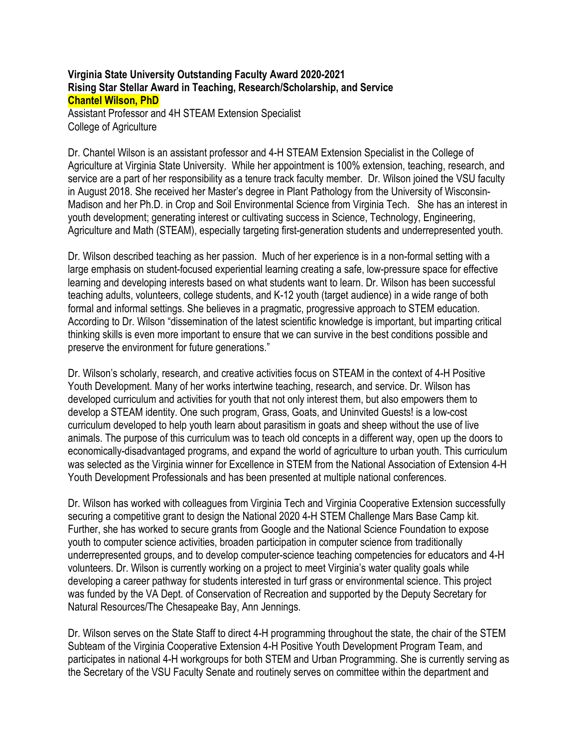## **Virginia State University Outstanding Faculty Award 2020-2021 Rising Star Stellar Award in Teaching, Research/Scholarship, and Service Chantel Wilson, PhD**

Assistant Professor and 4H STEAM Extension Specialist College of Agriculture

Dr. Chantel Wilson is an assistant professor and 4-H STEAM Extension Specialist in the College of Agriculture at Virginia State University. While her appointment is 100% extension, teaching, research, and service are a part of her responsibility as a tenure track faculty member. Dr. Wilson joined the VSU faculty in August 2018. She received her Master's degree in Plant Pathology from the University of Wisconsin-Madison and her Ph.D. in Crop and Soil Environmental Science from Virginia Tech. She has an interest in youth development; generating interest or cultivating success in Science, Technology, Engineering, Agriculture and Math (STEAM), especially targeting first-generation students and underrepresented youth.

Dr. Wilson described teaching as her passion. Much of her experience is in a non-formal setting with a large emphasis on student-focused experiential learning creating a safe, low-pressure space for effective learning and developing interests based on what students want to learn. Dr. Wilson has been successful teaching adults, volunteers, college students, and K-12 youth (target audience) in a wide range of both formal and informal settings. She believes in a pragmatic, progressive approach to STEM education. According to Dr. Wilson "dissemination of the latest scientific knowledge is important, but imparting critical thinking skills is even more important to ensure that we can survive in the best conditions possible and preserve the environment for future generations."

Dr. Wilson's scholarly, research, and creative activities focus on STEAM in the context of 4-H Positive Youth Development. Many of her works intertwine teaching, research, and service. Dr. Wilson has developed curriculum and activities for youth that not only interest them, but also empowers them to develop a STEAM identity. One such program, Grass, Goats, and Uninvited Guests! is a low-cost curriculum developed to help youth learn about parasitism in goats and sheep without the use of live animals. The purpose of this curriculum was to teach old concepts in a different way, open up the doors to economically-disadvantaged programs, and expand the world of agriculture to urban youth. This curriculum was selected as the Virginia winner for Excellence in STEM from the National Association of Extension 4-H Youth Development Professionals and has been presented at multiple national conferences.

Dr. Wilson has worked with colleagues from Virginia Tech and Virginia Cooperative Extension successfully securing a competitive grant to design the National 2020 4-H STEM Challenge Mars Base Camp kit. Further, she has worked to secure grants from Google and the National Science Foundation to expose youth to computer science activities, broaden participation in computer science from traditionally underrepresented groups, and to develop computer-science teaching competencies for educators and 4-H volunteers. Dr. Wilson is currently working on a project to meet Virginia's water quality goals while developing a career pathway for students interested in turf grass or environmental science. This project was funded by the VA Dept. of Conservation of Recreation and supported by the Deputy Secretary for Natural Resources/The Chesapeake Bay, Ann Jennings.

Dr. Wilson serves on the State Staff to direct 4-H programming throughout the state, the chair of the STEM Subteam of the Virginia Cooperative Extension 4-H Positive Youth Development Program Team, and participates in national 4-H workgroups for both STEM and Urban Programming. She is currently serving as the Secretary of the VSU Faculty Senate and routinely serves on committee within the department and